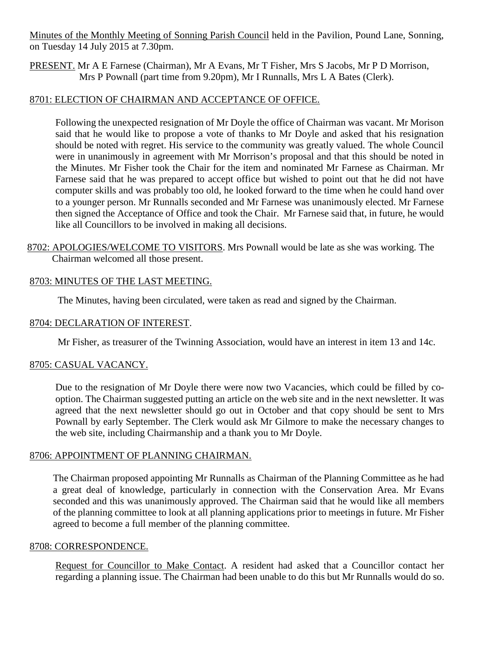Minutes of the Monthly Meeting of Sonning Parish Council held in the Pavilion, Pound Lane, Sonning, on Tuesday 14 July 2015 at 7.30pm.

PRESENT. Mr A E Farnese (Chairman), Mr A Evans, Mr T Fisher, Mrs S Jacobs, Mr P D Morrison, Mrs P Pownall (part time from 9.20pm), Mr I Runnalls, Mrs L A Bates (Clerk).

### 8701: ELECTION OF CHAIRMAN AND ACCEPTANCE OF OFFICE.

Following the unexpected resignation of Mr Doyle the office of Chairman was vacant. Mr Morison said that he would like to propose a vote of thanks to Mr Doyle and asked that his resignation should be noted with regret. His service to the community was greatly valued. The whole Council were in unanimously in agreement with Mr Morrison's proposal and that this should be noted in the Minutes. Mr Fisher took the Chair for the item and nominated Mr Farnese as Chairman. Mr Farnese said that he was prepared to accept office but wished to point out that he did not have computer skills and was probably too old, he looked forward to the time when he could hand over to a younger person. Mr Runnalls seconded and Mr Farnese was unanimously elected. Mr Farnese then signed the Acceptance of Office and took the Chair. Mr Farnese said that, in future, he would like all Councillors to be involved in making all decisions.

8702: APOLOGIES/WELCOME TO VISITORS. Mrs Pownall would be late as she was working. The Chairman welcomed all those present.

# 8703: MINUTES OF THE LAST MEETING.

The Minutes, having been circulated, were taken as read and signed by the Chairman.

### 8704: DECLARATION OF INTEREST.

Mr Fisher, as treasurer of the Twinning Association, would have an interest in item 13 and 14c.

# 8705: CASUAL VACANCY.

Due to the resignation of Mr Doyle there were now two Vacancies, which could be filled by cooption. The Chairman suggested putting an article on the web site and in the next newsletter. It was agreed that the next newsletter should go out in October and that copy should be sent to Mrs Pownall by early September. The Clerk would ask Mr Gilmore to make the necessary changes to the web site, including Chairmanship and a thank you to Mr Doyle.

# 8706: APPOINTMENT OF PLANNING CHAIRMAN.

The Chairman proposed appointing Mr Runnalls as Chairman of the Planning Committee as he had a great deal of knowledge, particularly in connection with the Conservation Area. Mr Evans seconded and this was unanimously approved. The Chairman said that he would like all members of the planning committee to look at all planning applications prior to meetings in future. Mr Fisher agreed to become a full member of the planning committee.

### 8708: CORRESPONDENCE.

Request for Councillor to Make Contact. A resident had asked that a Councillor contact her regarding a planning issue. The Chairman had been unable to do this but Mr Runnalls would do so.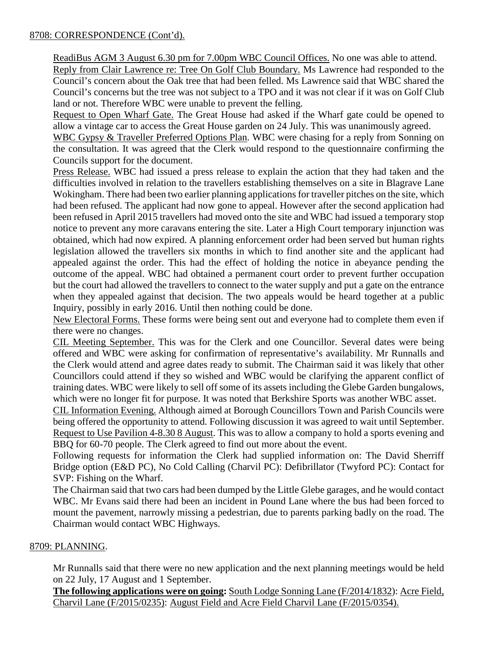### 8708: CORRESPONDENCE (Cont'd).

ReadiBus AGM 3 August 6.30 pm for 7.00pm WBC Council Offices. No one was able to attend.

Reply from Clair Lawrence re: Tree On Golf Club Boundary. Ms Lawrence had responded to the Council's concern about the Oak tree that had been felled. Ms Lawrence said that WBC shared the Council's concerns but the tree was not subject to a TPO and it was not clear if it was on Golf Club land or not. Therefore WBC were unable to prevent the felling.

Request to Open Wharf Gate. The Great House had asked if the Wharf gate could be opened to allow a vintage car to access the Great House garden on 24 July. This was unanimously agreed.

WBC Gypsy & Traveller Preferred Options Plan. WBC were chasing for a reply from Sonning on the consultation. It was agreed that the Clerk would respond to the questionnaire confirming the Councils support for the document.

Press Release. WBC had issued a press release to explain the action that they had taken and the difficulties involved in relation to the travellers establishing themselves on a site in Blagrave Lane Wokingham. There had been two earlier planning applications for traveller pitches on the site, which had been refused. The applicant had now gone to appeal. However after the second application had been refused in April 2015 travellers had moved onto the site and WBC had issued a temporary stop notice to prevent any more caravans entering the site. Later a High Court temporary injunction was obtained, which had now expired. A planning enforcement order had been served but human rights legislation allowed the travellers six months in which to find another site and the applicant had appealed against the order. This had the effect of holding the notice in abeyance pending the outcome of the appeal. WBC had obtained a permanent court order to prevent further occupation but the court had allowed the travellers to connect to the water supply and put a gate on the entrance when they appealed against that decision. The two appeals would be heard together at a public Inquiry, possibly in early 2016. Until then nothing could be done.

New Electoral Forms. These forms were being sent out and everyone had to complete them even if there were no changes.

CIL Meeting September. This was for the Clerk and one Councillor. Several dates were being offered and WBC were asking for confirmation of representative's availability. Mr Runnalls and the Clerk would attend and agree dates ready to submit. The Chairman said it was likely that other Councillors could attend if they so wished and WBC would be clarifying the apparent conflict of training dates. WBC were likely to sell off some of its assets including the Glebe Garden bungalows, which were no longer fit for purpose. It was noted that Berkshire Sports was another WBC asset.

CIL Information Evening. Although aimed at Borough Councillors Town and Parish Councils were being offered the opportunity to attend. Following discussion it was agreed to wait until September. Request to Use Pavilion 4-8.30 8 August. This was to allow a company to hold a sports evening and BBQ for 60-70 people. The Clerk agreed to find out more about the event.

Following requests for information the Clerk had supplied information on: The David Sherriff Bridge option (E&D PC), No Cold Calling (Charvil PC): Defibrillator (Twyford PC): Contact for SVP: Fishing on the Wharf.

The Chairman said that two cars had been dumped by the Little Glebe garages, and he would contact WBC. Mr Evans said there had been an incident in Pound Lane where the bus had been forced to mount the pavement, narrowly missing a pedestrian, due to parents parking badly on the road. The Chairman would contact WBC Highways.

# 8709: PLANNING.

Mr Runnalls said that there were no new application and the next planning meetings would be held on 22 July, 17 August and 1 September.

**The following applications were on going:** South Lodge Sonning Lane (F/2014/1832): Acre Field, Charvil Lane (F/2015/0235): August Field and Acre Field Charvil Lane (F/2015/0354).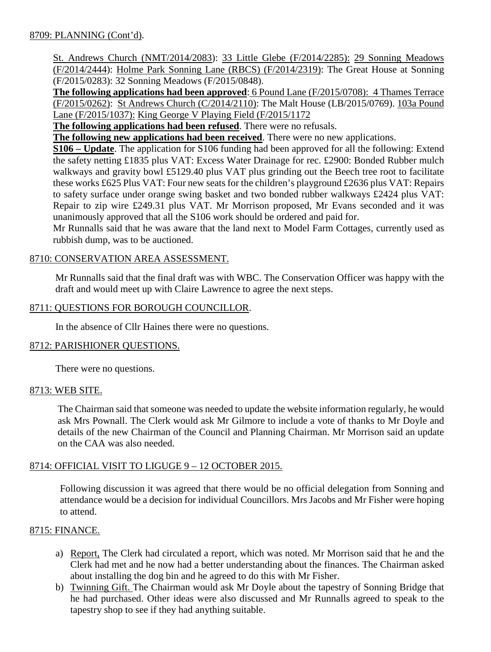St. Andrews Church (NMT/2014/2083): 33 Little Glebe (F/2014/2285): 29 Sonning Meadows (F/2014/2444): Holme Park Sonning Lane (RBCS) (F/2014/2319): The Great House at Sonning (F/2015/0283): 32 Sonning Meadows (F/2015/0848).

**The following applications had been approved**: 6 Pound Lane (F/2015/0708): 4 Thames Terrace (F/2015/0262): St Andrews Church (C/2014/2110): The Malt House (LB/2015/0769). 103a Pound Lane (F/2015/1037): King George V Playing Field (F/2015/1172

**The following applications had been refused**. There were no refusals.

**The following new applications had been received**. There were no new applications.

**S106 – Update**. The application for S106 funding had been approved for all the following: Extend the safety netting £1835 plus VAT: Excess Water Drainage for rec. £2900: Bonded Rubber mulch walkways and gravity bowl £5129.40 plus VAT plus grinding out the Beech tree root to facilitate these works £625 Plus VAT: Four new seats for the children's playground £2636 plus VAT: Repairs to safety surface under orange swing basket and two bonded rubber walkways £2424 plus VAT: Repair to zip wire £249.31 plus VAT. Mr Morrison proposed, Mr Evans seconded and it was unanimously approved that all the S106 work should be ordered and paid for.

Mr Runnalls said that he was aware that the land next to Model Farm Cottages, currently used as rubbish dump, was to be auctioned.

# 8710: CONSERVATION AREA ASSESSMENT.

Mr Runnalls said that the final draft was with WBC. The Conservation Officer was happy with the draft and would meet up with Claire Lawrence to agree the next steps.

# 8711: QUESTIONS FOR BOROUGH COUNCILLOR.

In the absence of Cllr Haines there were no questions.

### 8712: PARISHIONER QUESTIONS.

There were no questions.

### 8713: WEB SITE.

The Chairman said that someone was needed to update the website information regularly, he would ask Mrs Pownall. The Clerk would ask Mr Gilmore to include a vote of thanks to Mr Doyle and details of the new Chairman of the Council and Planning Chairman. Mr Morrison said an update on the CAA was also needed.

# 8714: OFFICIAL VISIT TO LIGUGE 9 – 12 OCTOBER 2015.

Following discussion it was agreed that there would be no official delegation from Sonning and attendance would be a decision for individual Councillors. Mrs Jacobs and Mr Fisher were hoping to attend.

# 8715: FINANCE.

- a) Report, The Clerk had circulated a report, which was noted. Mr Morrison said that he and the Clerk had met and he now had a better understanding about the finances. The Chairman asked about installing the dog bin and he agreed to do this with Mr Fisher.
- b) Twinning Gift. The Chairman would ask Mr Doyle about the tapestry of Sonning Bridge that he had purchased. Other ideas were also discussed and Mr Runnalls agreed to speak to the tapestry shop to see if they had anything suitable.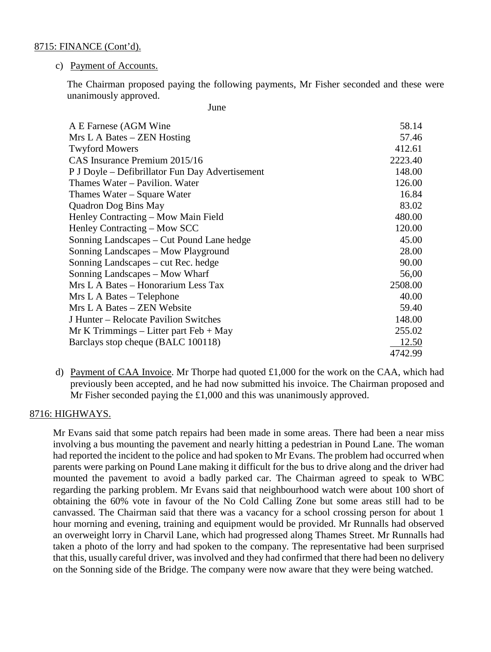#### 8715: FINANCE (Cont'd).

#### c) Payment of Accounts.

The Chairman proposed paying the following payments, Mr Fisher seconded and these were unanimously approved.

*June* 

| A E Farnese (AGM Wine                           | 58.14   |
|-------------------------------------------------|---------|
| Mrs L A Bates – ZEN Hosting                     | 57.46   |
| <b>Twyford Mowers</b>                           | 412.61  |
| CAS Insurance Premium 2015/16                   | 2223.40 |
| P J Doyle – Defibrillator Fun Day Advertisement | 148.00  |
| Thames Water – Pavilion. Water                  | 126.00  |
| Thames Water – Square Water                     | 16.84   |
| <b>Quadron Dog Bins May</b>                     | 83.02   |
| Henley Contracting – Mow Main Field             | 480.00  |
| Henley Contracting – Mow SCC                    | 120.00  |
| Sonning Landscapes – Cut Pound Lane hedge       | 45.00   |
| Sonning Landscapes – Mow Playground             | 28.00   |
| Sonning Landscapes – cut Rec. hedge             | 90.00   |
| Sonning Landscapes – Mow Wharf                  | 56,00   |
| Mrs L A Bates – Honorarium Less Tax             | 2508.00 |
| Mrs L A Bates - Telephone                       | 40.00   |
| Mrs L A Bates – ZEN Website                     | 59.40   |
| J Hunter – Relocate Pavilion Switches           | 148.00  |
| $Mr K$ Trimmings – Litter part Feb + May        | 255.02  |
| Barclays stop cheque (BALC 100118)              | 12.50   |
|                                                 | 4742.99 |

d) Payment of CAA Invoice. Mr Thorpe had quoted  $\pounds1,000$  for the work on the CAA, which had previously been accepted, and he had now submitted his invoice. The Chairman proposed and Mr Fisher seconded paying the £1,000 and this was unanimously approved.

### 8716: HIGHWAYS.

Mr Evans said that some patch repairs had been made in some areas. There had been a near miss involving a bus mounting the pavement and nearly hitting a pedestrian in Pound Lane. The woman had reported the incident to the police and had spoken to Mr Evans. The problem had occurred when parents were parking on Pound Lane making it difficult for the bus to drive along and the driver had mounted the pavement to avoid a badly parked car. The Chairman agreed to speak to WBC regarding the parking problem. Mr Evans said that neighbourhood watch were about 100 short of obtaining the 60% vote in favour of the No Cold Calling Zone but some areas still had to be canvassed. The Chairman said that there was a vacancy for a school crossing person for about 1 hour morning and evening, training and equipment would be provided. Mr Runnalls had observed an overweight lorry in Charvil Lane, which had progressed along Thames Street. Mr Runnalls had taken a photo of the lorry and had spoken to the company. The representative had been surprised that this, usually careful driver, was involved and they had confirmed that there had been no delivery on the Sonning side of the Bridge. The company were now aware that they were being watched.